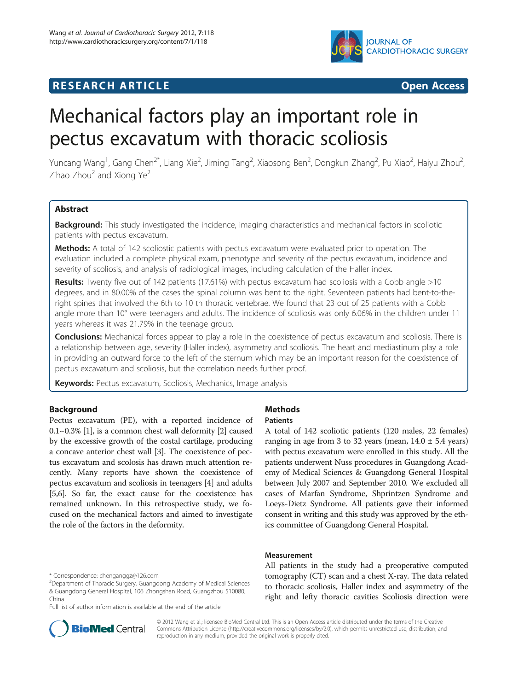

# **RESEARCH ARTICLE Example 2014 CONSIDERING CONSIDERING CONSIDERING CONSIDERING CONSIDERING CONSIDERING CONSIDERING CONSIDERING CONSIDERING CONSIDERING CONSIDERING CONSIDERING CONSIDERING CONSIDERING CONSIDERING CONSIDE**

# Mechanical factors play an important role in pectus excavatum with thoracic scoliosis

Yuncang Wang<sup>1</sup>, Gang Chen<sup>2\*</sup>, Liang Xie<sup>2</sup>, Jiming Tang<sup>2</sup>, Xiaosong Ben<sup>2</sup>, Dongkun Zhang<sup>2</sup>, Pu Xiao<sup>2</sup>, Haiyu Zhou<sup>2</sup> , Zihao  $Z$ hou $2$  and Xiong Ye $2$ 

## **Abstract**

Background: This study investigated the incidence, imaging characteristics and mechanical factors in scoliotic patients with pectus excavatum.

Methods: A total of 142 scoliostic patients with pectus excavatum were evaluated prior to operation. The evaluation included a complete physical exam, phenotype and severity of the pectus excavatum, incidence and severity of scoliosis, and analysis of radiological images, including calculation of the Haller index.

Results: Twenty five out of 142 patients (17.61%) with pectus excavatum had scoliosis with a Cobb angle >10 degrees, and in 80.00% of the cases the spinal column was bent to the right. Seventeen patients had bent-to-theright spines that involved the 6th to 10 th thoracic vertebrae. We found that 23 out of 25 patients with a Cobb angle more than 10° were teenagers and adults. The incidence of scoliosis was only 6.06% in the children under 11 years whereas it was 21.79% in the teenage group.

Conclusions: Mechanical forces appear to play a role in the coexistence of pectus excavatum and scoliosis. There is a relationship between age, severity (Haller index), asymmetry and scoliosis. The heart and mediastinum play a role in providing an outward force to the left of the sternum which may be an important reason for the coexistence of pectus excavatum and scoliosis, but the correlation needs further proof.

Keywords: Pectus excavatum, Scoliosis, Mechanics, Image analysis

## Background

Pectus excavatum (PE), with a reported incidence of 0.1~0.3% [[1\]](#page-2-0), is a common chest wall deformity [[2\]](#page-2-0) caused by the excessive growth of the costal cartilage, producing a concave anterior chest wall [[3](#page-2-0)]. The coexistence of pectus excavatum and scolosis has drawn much attention recently. Many reports have shown the coexistence of pectus excavatum and scoliosis in teenagers [\[4](#page-2-0)] and adults [[5,6](#page-2-0)]. So far, the exact cause for the coexistence has remained unknown. In this retrospective study, we focused on the mechanical factors and aimed to investigate the role of the factors in the deformity.

Full list of author information is available at the end of the article



# Methods

## **Patients**

A total of 142 scoliotic patients (120 males, 22 females) ranging in age from 3 to 32 years (mean,  $14.0 \pm 5.4$  years) with pectus excavatum were enrolled in this study. All the patients underwent Nuss procedures in Guangdong Academy of Medical Sciences & Guangdong General Hospital between July 2007 and September 2010. We excluded all cases of Marfan Syndrome, Shprintzen Syndrome and Loeys-Dietz Syndrome. All patients gave their informed consent in writing and this study was approved by the ethics committee of Guangdong General Hospital.

#### Measurement

All patients in the study had a preoperative computed tomography (CT) scan and a chest X-ray. The data related to thoracic scoliosis, Haller index and asymmetry of the right and lefty thoracic cavities Scoliosis direction were

© 2012 Wang et al.; licensee BioMed Central Ltd. This is an Open Access article distributed under the terms of the Creative Commons Attribution License [\(http://creativecommons.org/licenses/by/2.0\)](http://creativecommons.org/licenses/by/2.0), which permits unrestricted use, distribution, and reproduction in any medium, provided the original work is properly cited.

<sup>\*</sup> Correspondence: [chenganggz@126.com](mailto:chenganggz@126.com) <sup>2</sup>

Department of Thoracic Surgery, Guangdong Academy of Medical Sciences & Guangdong General Hospital, 106 Zhongshan Road, Guangzhou 510080, China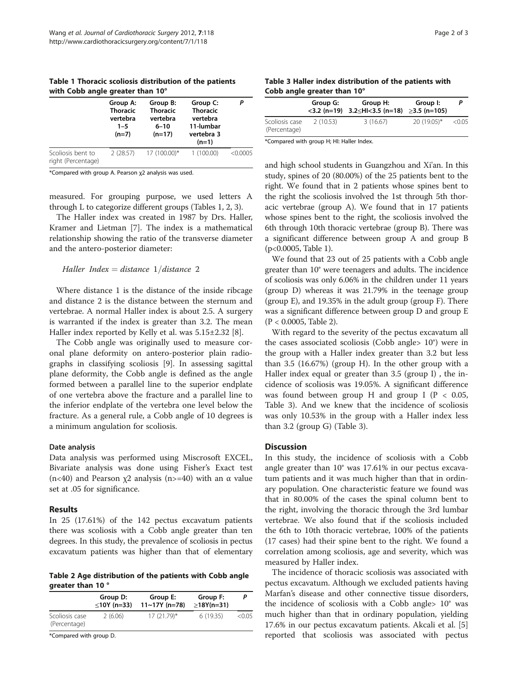| WILD CODD angle greater than TV         | Group A:<br><b>Thoracic</b><br>vertebra<br>$1 - 5$<br>$(n=7)$ | Group B:<br><b>Thoracic</b><br>vertebra<br>$6 - 10$<br>$(n=17)$ | Group C:<br><b>Thoracic</b><br>vertebra<br>11-lumbar<br>vertebra 3 |          |
|-----------------------------------------|---------------------------------------------------------------|-----------------------------------------------------------------|--------------------------------------------------------------------|----------|
|                                         |                                                               |                                                                 | $(n=1)$                                                            |          |
| Scoliosis bent to<br>right (Percentage) | 2(28.57)                                                      | 17 (100.00)*                                                    | 1(100.00)                                                          | < 0.0005 |

<span id="page-1-0"></span>Table 1 Thoracic scoliosis distribution of the patients with Cobb angle greater than 10°

\*Compared with group A. Pearson χ2 analysis was used.

measured. For grouping purpose, we used letters A through L to categorize different groups (Tables 1, 2, 3).

The Haller index was created in 1987 by Drs. Haller, Kramer and Lietman [\[7](#page-2-0)]. The index is a mathematical relationship showing the ratio of the transverse diameter and the antero-posterior diameter:

## Haller Index = distance  $1/d$ istance 2

Where distance 1 is the distance of the inside ribcage and distance 2 is the distance between the sternum and vertebrae. A normal Haller index is about 2.5. A surgery is warranted if the index is greater than 3.2. The mean Haller index reported by Kelly et al. was 5.15±2.32 [[8\]](#page-2-0).

The Cobb angle was originally used to measure coronal plane deformity on antero-posterior plain radiographs in classifying scoliosis [[9\]](#page-2-0). In assessing sagittal plane deformity, the Cobb angle is defined as the angle formed between a parallel line to the superior endplate of one vertebra above the fracture and a parallel line to the inferior endplate of the vertebra one level below the fracture. As a general rule, a Cobb angle of 10 degrees is a minimum angulation for scoliosis.

## Date analysis

Data analysis was performed using Miscrosoft EXCEL, Bivariate analysis was done using Fisher's Exact test (n<40) and Pearson  $\chi$ 2 analysis (n>=40) with an  $\alpha$  value set at .05 for significance.

## Results

In 25 (17.61%) of the 142 pectus excavatum patients there was scoliosis with a Cobb angle greater than ten degrees. In this study, the prevalence of scoliosis in pectus excavatum patients was higher than that of elementary

Table 2 Age distribution of the patients with Cobb angle greater than 10 °

|                                | Group D:<br>≤10Y (n=33) | Group E:<br>$11~17$ Y (n=78) | Group F:<br>$\geq$ 18Y(n=31) |        |
|--------------------------------|-------------------------|------------------------------|------------------------------|--------|
| Scoliosis case<br>(Percentage) | 2(6.06)                 | $17(21.79)^*$                | 6(19.35)                     | < 0.05 |
| $\sim$ $\sim$<br>$\sim$ $\sim$ |                         |                              |                              |        |

\*Compared with group D.

|                                      |  |  | Table 3 Haller index distribution of the patients with |  |
|--------------------------------------|--|--|--------------------------------------------------------|--|
| Cobb angle greater than $10^{\circ}$ |  |  |                                                        |  |

|                                | Group G: | Group H:<br>$<$ 3.2 (n=19) 3.2 $\leq$ HI $<$ 3.5 (n=18) $\geq$ 3.5 (n=105) | Group I:    |        |
|--------------------------------|----------|----------------------------------------------------------------------------|-------------|--------|
| Scoliosis case<br>(Percentage) | 2(10.53) | 3(16.67)                                                                   | 20 (19.05)* | < 0.05 |

\*Compared with group H; HI: Haller Index.

and high school students in Guangzhou and Xi'an. In this study, spines of 20 (80.00%) of the 25 patients bent to the right. We found that in 2 patients whose spines bent to the right the scoliosis involved the 1st through 5th thoracic vertebrae (group A). We found that in 17 patients whose spines bent to the right, the scoliosis involved the 6th through 10th thoracic vertebrae (group B). There was a significant difference between group A and group B (p<0.0005, Table 1).

We found that 23 out of 25 patients with a Cobb angle greater than 10° were teenagers and adults. The incidence of scoliosis was only 6.06% in the children under 11 years (group D) whereas it was 21.79% in the teenage group (group E), and 19.35% in the adult group (group F). There was a significant difference between group D and group E (P < 0.0005, Table 2).

With regard to the severity of the pectus excavatum all the cases associated scoliosis (Cobb angle> 10°) were in the group with a Haller index greater than 3.2 but less than 3.5 (16.67%) (group H). In the other group with a Haller index equal or greater than 3.5 (group I) , the incidence of scoliosis was 19.05%. A significant difference was found between group H and group I ( $P < 0.05$ , Table 3). And we knew that the incidence of scoliosis was only 10.53% in the group with a Haller index less than 3.2 (group G) (Table 3).

## **Discussion**

In this study, the incidence of scoliosis with a Cobb angle greater than 10° was 17.61% in our pectus excavatum patients and it was much higher than that in ordinary population. One characteristic feature we found was that in 80.00% of the cases the spinal column bent to the right, involving the thoracic through the 3rd lumbar vertebrae. We also found that if the scoliosis included the 6th to 10th thoracic vertebrae, 100% of the patients (17 cases) had their spine bent to the right. We found a correlation among scoliosis, age and severity, which was measured by Haller index.

The incidence of thoracic scoliosis was associated with pectus excavatum. Although we excluded patients having Marfan's disease and other connective tissue disorders, the incidence of scoliosis with a Cobb angle> 10° was much higher than that in ordinary population, yielding 17.6% in our pectus excavatum patients. Akcali et al. [\[5](#page-2-0)] reported that scoliosis was associated with pectus